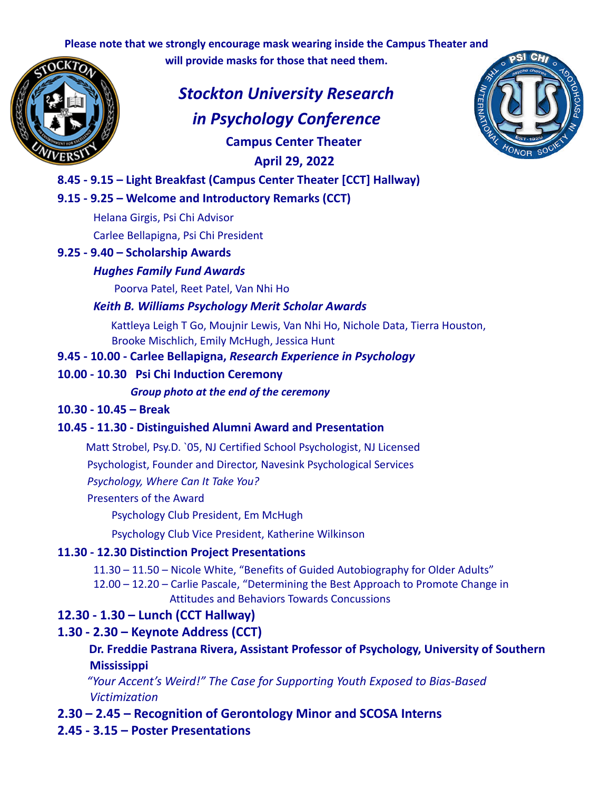**Please note that we strongly encourage mask wearing inside the Campus Theater and**

**will provide masks for those that need them.**



*Stockton University Research in Psychology Conference* **Campus Center Theater April 29, 2022**



# **8.45 - 9.15 – Light Breakfast (Campus Center Theater [CCT] Hallway)**

### **9.15 - 9.25 – Welcome and Introductory Remarks (CCT)**

Helana Girgis, Psi Chi Advisor

Carlee Bellapigna, Psi Chi President

### **9.25 - 9.40 – Scholarship Awards**

#### *Hughes Family Fund Awards*

Poorva Patel, Reet Patel, Van Nhi Ho

### *Keith B. Williams Psychology Merit Scholar Awards*

Kattleya Leigh T Go, Moujnir Lewis, Van Nhi Ho, Nichole Data, Tierra Houston, Brooke Mischlich, Emily McHugh, Jessica Hunt

## **9.45 - 10.00 - Carlee Bellapigna,** *Research Experience in Psychology*

### **10.00 - 10.30 Psi Chi Induction Ceremony**

*Group photo at the end of the ceremony*

#### **10.30 - 10.45 – Break**

## **10.45 - 11.30 - Distinguished Alumni Award and Presentation**

Matt Strobel, Psy.D. `05, NJ Certified School Psychologist, NJ Licensed

Psychologist, Founder and Director, Navesink Psychological Services

*Psychology, Where Can It Take You?*

#### Presenters of the Award

Psychology Club President, Em McHugh

Psychology Club Vice President, Katherine Wilkinson

#### **11.30 - 12.30 Distinction Project Presentations**

11.30 – 11.50 – Nicole White, "Benefits of Guided Autobiography for Older Adults"

12.00 – 12.20 – Carlie Pascale, "Determining the Best Approach to Promote Change in Attitudes and Behaviors Towards Concussions

# **12.30 - 1.30 – Lunch (CCT Hallway)**

# **1.30 - 2.30 – Keynote Address (CCT)**

## **Dr. Freddie Pastrana Rivera, Assistant Professor of Psychology, University of Southern Mississippi**

*"Your Accent's Weird!" The Case for Supporting Youth Exposed to Bias-Based Victimization*

**2.30 – 2.45 – Recognition of Gerontology Minor and SCOSA Interns**

## **2.45 - 3.15 – Poster Presentations**